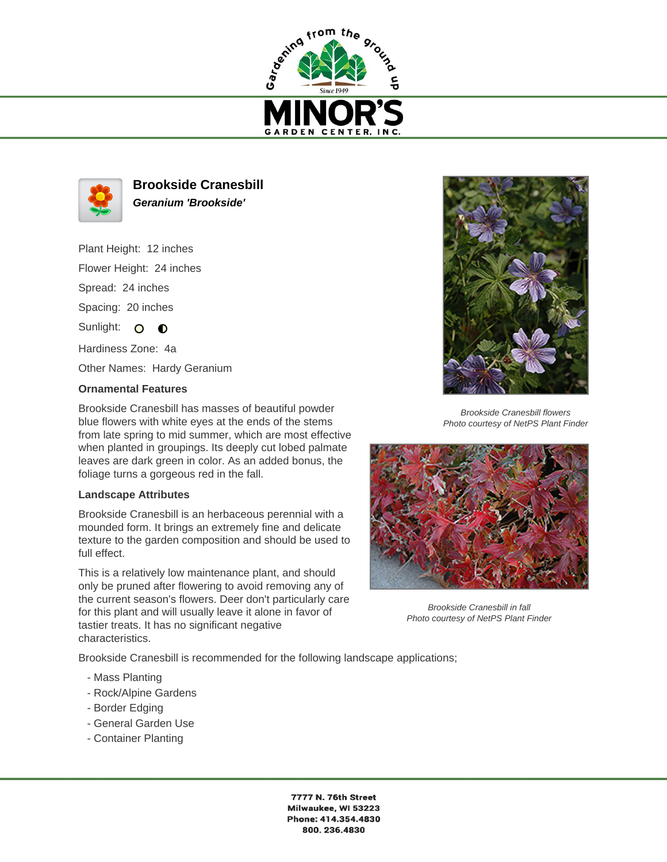



**Brookside Cranesbill Geranium 'Brookside'**

Plant Height: 12 inches Flower Height: 24 inches Spread: 24 inches Spacing: 20 inches Sunlight: O **O** Hardiness Zone: 4a

Other Names: Hardy Geranium

## **Ornamental Features**

Brookside Cranesbill has masses of beautiful powder blue flowers with white eyes at the ends of the stems from late spring to mid summer, which are most effective when planted in groupings. Its deeply cut lobed palmate leaves are dark green in color. As an added bonus, the foliage turns a gorgeous red in the fall.

## **Landscape Attributes**

Brookside Cranesbill is an herbaceous perennial with a mounded form. It brings an extremely fine and delicate texture to the garden composition and should be used to full effect.

This is a relatively low maintenance plant, and should only be pruned after flowering to avoid removing any of the current season's flowers. Deer don't particularly care for this plant and will usually leave it alone in favor of tastier treats. It has no significant negative characteristics.



Brookside Cranesbill flowers Photo courtesy of NetPS Plant Finder



Brookside Cranesbill in fall Photo courtesy of NetPS Plant Finder

Brookside Cranesbill is recommended for the following landscape applications;

- Mass Planting
- Rock/Alpine Gardens
- Border Edging
- General Garden Use
- Container Planting

7777 N. 76th Street Milwaukee, WI 53223 Phone: 414.354.4830 800.236.4830